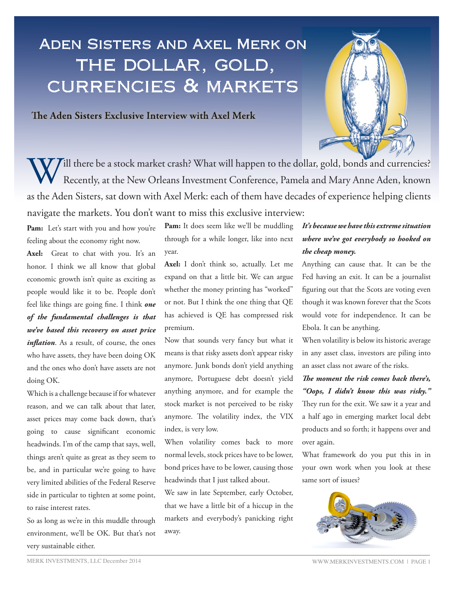# Aden Sisters and Axel Merk on THE DOLLAR, GOLD, currencies & markets

The Aden Sisters Exclusive Interview with Axel Merk



Will there be a stock market crash? What will happen to the dollar, gold, bonds and currencies?<br>Recently, at the New Orleans Investment Conference, Pamela and Mary Anne Aden, known Recently, at the New Orleans Investment Conference, Pamela and Mary Anne Aden, known as the Aden Sisters, sat down with Axel Merk: each of them have decades of experience helping clients navigate the markets. You don't want to miss this exclusive interview:

Pam: Let's start with you and how you're feeling about the economy right now.

Axel: Great to chat with you. It's an honor. I think we all know that global economic growth isn't quite as exciting as people would like it to be. People don't feel like things are going fine. I think *one of the fundamental challenges is that we've based this recovery on asset price inflation*. As a result, of course, the ones who have assets, they have been doing OK and the ones who don't have assets are not doing OK.

Which is a challenge because if for whatever reason, and we can talk about that later, asset prices may come back down, that's going to cause significant economic headwinds. I'm of the camp that says, well, things aren't quite as great as they seem to be, and in particular we're going to have very limited abilities of the Federal Reserve side in particular to tighten at some point, to raise interest rates.

So as long as we're in this muddle through environment, we'll be OK. But that's not very sustainable either.

Pam: It does seem like we'll be muddling through for a while longer, like into next year.

**Axel:** I don't think so, actually. Let me expand on that a little bit. We can argue whether the money printing has "worked" or not. But I think the one thing that QE has achieved is QE has compressed risk premium.

Now that sounds very fancy but what it means is that risky assets don't appear risky anymore. Junk bonds don't yield anything anymore, Portuguese debt doesn't yield anything anymore, and for example the stock market is not perceived to be risky anymore. The volatility index, the VIX index, is very low.

When volatility comes back to more normal levels, stock prices have to be lower, bond prices have to be lower, causing those headwinds that I just talked about.

We saw in late September, early October, that we have a little bit of a hiccup in the markets and everybody's panicking right away.

## *It's because we have this extreme situation where we've got everybody so hooked on the cheap money.*

Anything can cause that. It can be the Fed having an exit. It can be a journalist figuring out that the Scots are voting even though it was known forever that the Scots would vote for independence. It can be Ebola. It can be anything.

When volatility is below its historic average in any asset class, investors are piling into an asset class not aware of the risks.

*The moment the risk comes back there's, "Oops, I didn't know this was risky."*  They run for the exit. We saw it a year and

a half ago in emerging market local debt products and so forth; it happens over and over again.

What framework do you put this in in your own work when you look at these same sort of issues?

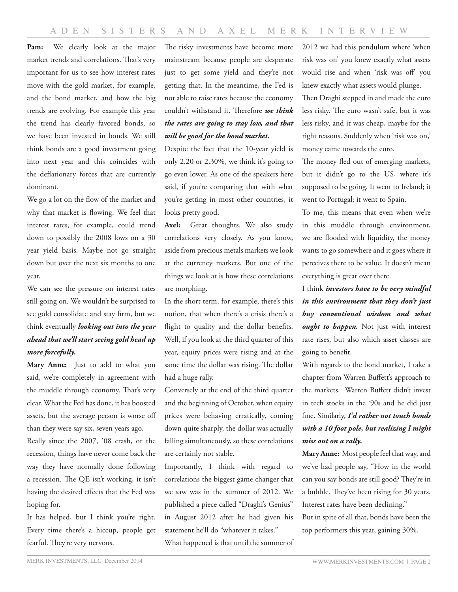Pam: We clearly look at the major market trends and correlations. That's very important for us to see how interest rates move with the gold market, for example, and the bond market, and how the big trends are evolving. For example this year the trend has clearly favored bonds, so we have been invested in bonds. We still think bonds are a good investment going into next year and this coincides with the deflationary forces that are currently dominant.

We go a lot on the flow of the market and why that market is flowing. We feel that interest rates, for example, could trend down to possibly the 2008 lows on a 30 year yield basis. Maybe not go straight down but over the next six months to one year.

We can see the pressure on interest rates still going on. We wouldn't be surprised to see gold consolidate and stay firm, but we think eventually *looking out into the year ahead that we'll start seeing gold head up more forcefully.*

**Mary Anne:** Just to add to what you said, we're completely in agreement with the muddle through economy. That's very clear. What the Fed has done, it has boosted assets, but the average person is worse off than they were say six, seven years ago.

Really since the 2007, '08 crash, or the recession, things have never come back the way they have normally done following a recession. The QE isn't working, it isn't having the desired effects that the Fed was hoping for.

It has helped, but I think you're right. Every time there's a hiccup, people get fearful. They're very nervous.

The risky investments have become more mainstream because people are desperate just to get some yield and they're not getting that. In the meantime, the Fed is not able to raise rates because the economy couldn't withstand it. Therefore *we think the rates are going to stay low, and that will be good for the bond market.*

Despite the fact that the 10-year yield is only 2.20 or 2.30%, we think it's going to go even lower. As one of the speakers here said, if you're comparing that with what you're getting in most other countries, it looks pretty good.

**Axel:** Great thoughts. We also study correlations very closely. As you know, aside from precious metals markets we look at the currency markets. But one of the things we look at is how these correlations are morphing.

In the short term, for example, there's this notion, that when there's a crisis there's a flight to quality and the dollar benefits. Well, if you look at the third quarter of this year, equity prices were rising and at the same time the dollar was rising. The dollar had a huge rally.

Conversely at the end of the third quarter and the beginning of October, when equity prices were behaving erratically, coming down quite sharply, the dollar was actually falling simultaneously, so these correlations are certainly not stable.

Importantly, I think with regard to correlations the biggest game changer that we saw was in the summer of 2012. We published a piece called "Draghi's Genius" in August 2012 after he had given his statement he'll do "whatever it takes." What happened is that until the summer of 2012 we had this pendulum where 'when risk was on' you knew exactly what assets would rise and when 'risk was off' you knew exactly what assets would plunge.

Then Draghi stepped in and made the euro less risky. The euro wasn't safe, but it was less risky, and it was cheap, maybe for the right reasons. Suddenly when 'risk was on,' money came towards the euro.

The money fled out of emerging markets, but it didn't go to the US, where it's supposed to be going. It went to Ireland; it went to Portugal; it went to Spain.

To me, this means that even when we're in this muddle through environment, we are flooded with liquidity, the money wants to go somewhere and it goes where it perceives there to be value. It doesn't mean everything is great over there.

I think *investors have to be very mindful in this environment that they don't just buy conventional wisdom and what ought to happen*. Not just with interest rate rises, but also which asset classes are going to benefit.

With regards to the bond market, I take a chapter from Warren Buffett's approach to the markets. Warren Buffett didn't invest in tech stocks in the '90s and he did just fine. Similarly, *I'd rather not touch bonds with a 10 foot pole, but realizing I might miss out on a rally.*

**Mary Anne:** Most people feel that way, and we've had people say, "How in the world can you say bonds are still good? They're in a bubble. They've been rising for 30 years. Interest rates have been declining." But in spite of all that, bonds have been the top performers this year, gaining 30%.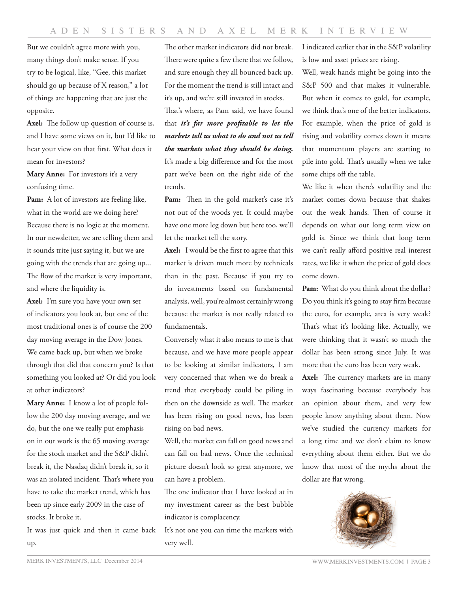But we couldn't agree more with you, many things don't make sense. If you try to be logical, like, "Gee, this market should go up because of X reason," a lot of things are happening that are just the opposite.

**Axel:** The follow up question of course is, and I have some views on it, but I'd like to hear your view on that first. What does it mean for investors?

Mary Anne: For investors it's a very confusing time.

**Pam:** A lot of investors are feeling like, what in the world are we doing here? Because there is no logic at the moment. In our newsletter, we are telling them and it sounds trite just saying it, but we are going with the trends that are going up... The flow of the market is very important, and where the liquidity is.

**Axel:** I'm sure you have your own set of indicators you look at, but one of the most traditional ones is of course the 200 day moving average in the Dow Jones. We came back up, but when we broke through that did that concern you? Is that something you looked at? Or did you look at other indicators?

**Mary Anne:** I know a lot of people follow the 200 day moving average, and we do, but the one we really put emphasis on in our work is the 65 moving average for the stock market and the S&P didn't break it, the Nasdaq didn't break it, so it was an isolated incident. That's where you have to take the market trend, which has been up since early 2009 in the case of stocks. It broke it.

It was just quick and then it came back up.

The other market indicators did not break. There were quite a few there that we follow, and sure enough they all bounced back up. For the moment the trend is still intact and it's up, and we're still invested in stocks.

That's where, as Pam said, we have found that *it's far more profitable to let the markets tell us what to do and not us tell the markets what they should be doing.*  It's made a big difference and for the most part we've been on the right side of the trends.

Pam: Then in the gold market's case it's not out of the woods yet. It could maybe have one more leg down but here too, we'll let the market tell the story.

**Axel:** I would be the first to agree that this market is driven much more by technicals than in the past. Because if you try to do investments based on fundamental analysis, well, you're almost certainly wrong because the market is not really related to fundamentals.

Conversely what it also means to me is that because, and we have more people appear to be looking at similar indicators, I am very concerned that when we do break a trend that everybody could be piling in then on the downside as well. The market has been rising on good news, has been rising on bad news.

Well, the market can fall on good news and can fall on bad news. Once the technical picture doesn't look so great anymore, we can have a problem.

The one indicator that I have looked at in my investment career as the best bubble indicator is complacency.

It's not one you can time the markets with very well.

I indicated earlier that in the S&P volatility is low and asset prices are rising.

Well, weak hands might be going into the S&P 500 and that makes it vulnerable. But when it comes to gold, for example, we think that's one of the better indicators. For example, when the price of gold is rising and volatility comes down it means that momentum players are starting to pile into gold. That's usually when we take some chips off the table.

We like it when there's volatility and the market comes down because that shakes out the weak hands. Then of course it depends on what our long term view on gold is. Since we think that long term we can't really afford positive real interest rates, we like it when the price of gold does come down.

Pam: What do you think about the dollar? Do you think it's going to stay firm because the euro, for example, area is very weak? That's what it's looking like. Actually, we were thinking that it wasn't so much the dollar has been strong since July. It was more that the euro has been very weak.

**Axel:** The currency markets are in many ways fascinating because everybody has an opinion about them, and very few people know anything about them. Now we've studied the currency markets for a long time and we don't claim to know everything about them either. But we do know that most of the myths about the dollar are flat wrong.

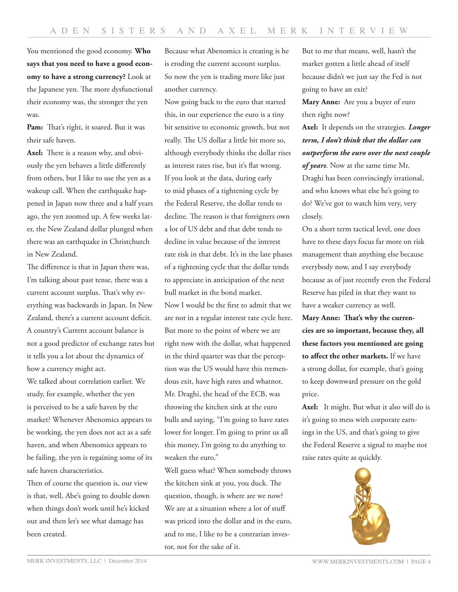You mentioned the good economy. **Who says that you need to have a good economy to have a strong currency?** Look at the Japanese yen. The more dysfunctional their economy was, the stronger the yen was.

**Pam:** That's right, it soared. But it was their safe haven.

**Axel:** There is a reason why, and obviously the yen behaves a little differently from others, but I like to use the yen as a wakeup call. When the earthquake happened in Japan now three and a half years ago, the yen zoomed up. A few weeks later, the New Zealand dollar plunged when there was an earthquake in Christchurch in New Zealand.

The difference is that in Japan there was, I'm talking about past tense, there was a current account surplus. That's why everything was backwards in Japan. In New Zealand, there's a current account deficit. A country's Current account balance is not a good predictor of exchange rates but it tells you a lot about the dynamics of how a currency might act.

We talked about correlation earlier. We study, for example, whether the yen is perceived to be a safe haven by the market? Whenever Abenomics appears to be working, the yen does not act as a safe haven, and when Abenomics appears to be failing, the yen is regaining some of its safe haven characteristics.

Then of course the question is, our view is that, well, Abe's going to double down when things don't work until he's kicked out and then let's see what damage has been created.

Because what Abenomics is creating is he is eroding the current account surplus. So now the yen is trading more like just another currency.

Now going back to the euro that started this, in our experience the euro is a tiny bit sensitive to economic growth, but not really. The US dollar a little bit more so, although everybody thinks the dollar rises as interest rates rise, but it's flat wrong. If you look at the data, during early to mid phases of a tightening cycle by the Federal Reserve, the dollar tends to decline. The reason is that foreigners own a lot of US debt and that debt tends to decline in value because of the interest rate risk in that debt. It's in the late phases of a tightening cycle that the dollar tends to appreciate in anticipation of the next bull market in the bond market. Now I would be the first to admit that we are not in a regular interest rate cycle here. But more to the point of where we are right now with the dollar, what happened in the third quarter was that the perception was the US would have this tremendous exit, have high rates and whatnot. Mr. Draghi, the head of the ECB, was throwing the kitchen sink at the euro bulls and saying, "I'm going to have rates lower for longer. I'm going to print us all this money, I'm going to do anything to weaken the euro."

Well guess what? When somebody throws the kitchen sink at you, you duck. The question, though, is where are we now? We are at a situation where a lot of stuff was priced into the dollar and in the euro, and to me, I like to be a contrarian investor, not for the sake of it.

But to me that means, well, hasn't the market gotten a little ahead of itself because didn't we just say the Fed is not going to have an exit?

**Mary Anne:** Are you a buyer of euro then right now?

**Axel:** It depends on the strategies. *Longer term, I don't think that the dollar can outperform the euro over the next couple of years*. Now at the same time Mr. Draghi has been convincingly irrational, and who knows what else he's going to do? We've got to watch him very, very closely.

On a short term tactical level, one does have to these days focus far more on risk management than anything else because everybody now, and I say everybody because as of just recently even the Federal Reserve has piled in that they want to have a weaker currency as well.

**Mary Anne: That's why the currencies are so important, because they, all these factors you mentioned are going to affect the other markets.** If we have a strong dollar, for example, that's going to keep downward pressure on the gold price.

**Axel:** It might. But what it also will do is it's going to mess with corporate earnings in the US, and that's going to give the Federal Reserve a signal to maybe not raise rates quite as quickly.

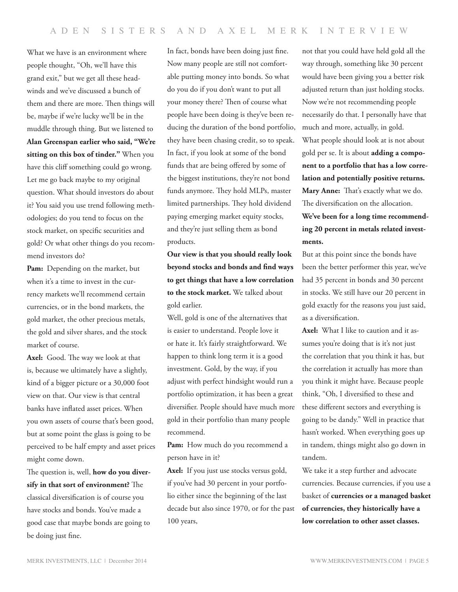What we have is an environment where people thought, "Oh, we'll have this grand exit," but we get all these headwinds and we've discussed a bunch of them and there are more. Then things will be, maybe if we're lucky we'll be in the muddle through thing. But we listened to **Alan Greenspan earlier who said, "We're sitting on this box of tinder."** When you have this cliff something could go wrong. Let me go back maybe to my original question. What should investors do about it? You said you use trend following methodologies; do you tend to focus on the stock market, on specific securities and gold? Or what other things do you recommend investors do?

Pam: Depending on the market, but when it's a time to invest in the currency markets we'll recommend certain currencies, or in the bond markets, the gold market, the other precious metals, the gold and silver shares, and the stock market of course.

**Axel:** Good. The way we look at that is, because we ultimately have a slightly, kind of a bigger picture or a 30,000 foot view on that. Our view is that central banks have inflated asset prices. When you own assets of course that's been good, but at some point the glass is going to be perceived to be half empty and asset prices might come down.

The question is, well, **how do you diversify in that sort of environment?** The classical diversification is of course you have stocks and bonds. You've made a good case that maybe bonds are going to be doing just fine.

In fact, bonds have been doing just fine. Now many people are still not comfortable putting money into bonds. So what do you do if you don't want to put all your money there? Then of course what people have been doing is they've been reducing the duration of the bond portfolio, they have been chasing credit, so to speak. In fact, if you look at some of the bond funds that are being offered by some of the biggest institutions, they're not bond funds anymore. They hold MLPs, master limited partnerships. They hold dividend paying emerging market equity stocks, and they're just selling them as bond products.

**Our view is that you should really look beyond stocks and bonds and find ways to get things that have a low correlation to the stock market.** We talked about gold earlier.

Well, gold is one of the alternatives that is easier to understand. People love it or hate it. It's fairly straightforward. We happen to think long term it is a good investment. Gold, by the way, if you adjust with perfect hindsight would run a portfolio optimization, it has been a great diversifier. People should have much more gold in their portfolio than many people recommend.

Pam: How much do you recommend a person have in it?

Axel: If you just use stocks versus gold, if you've had 30 percent in your portfolio either since the beginning of the last decade but also since 1970, or for the past 100 years,

not that you could have held gold all the way through, something like 30 percent would have been giving you a better risk adjusted return than just holding stocks. Now we're not recommending people necessarily do that. I personally have that much and more, actually, in gold. What people should look at is not about gold per se. It is about **adding a component to a portfolio that has a low correlation and potentially positive returns. Mary Anne:** That's exactly what we do. The diversification on the allocation. **We've been for a long time recommending 20 percent in metals related investments.**

But at this point since the bonds have been the better performer this year, we've had 35 percent in bonds and 30 percent in stocks. We still have our 20 percent in gold exactly for the reasons you just said, as a diversification.

**Axel:** What I like to caution and it assumes you're doing that is it's not just the correlation that you think it has, but the correlation it actually has more than you think it might have. Because people think, "Oh, I diversified to these and these different sectors and everything is going to be dandy." Well in practice that hasn't worked. When everything goes up in tandem, things might also go down in tandem.

We take it a step further and advocate currencies. Because currencies, if you use a basket of **currencies or a managed basket of currencies, they historically have a low correlation to other asset classes.**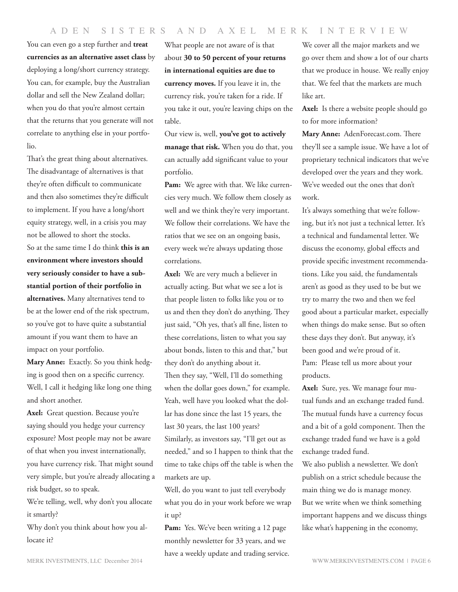#### ADEN SISTERS AND AXEL MERK INTERVIEW

You can even go a step further and **treat currencies as an alternative asset class** by deploying a long/short currency strategy. You can, for example, buy the Australian dollar and sell the New Zealand dollar; when you do that you're almost certain that the returns that you generate will not correlate to anything else in your portfolio.

That's the great thing about alternatives. The disadvantage of alternatives is that they're often difficult to communicate and then also sometimes they're difficult to implement. If you have a long/short equity strategy, well, in a crisis you may not be allowed to short the stocks.

So at the same time I do think **this is an environment where investors should very seriously consider to have a substantial portion of their portfolio in alternatives.** Many alternatives tend to be at the lower end of the risk spectrum, so you've got to have quite a substantial amount if you want them to have an impact on your portfolio.

**Mary Anne:** Exactly. So you think hedging is good then on a specific currency. Well, I call it hedging like long one thing and short another.

**Axel:** Great question. Because you're saying should you hedge your currency exposure? Most people may not be aware of that when you invest internationally, you have currency risk. That might sound very simple, but you're already allocating a risk budget, so to speak.

We're telling, well, why don't you allocate it smartly?

Why don't you think about how you allocate it?

What people are not aware of is that about **30 to 50 percent of your returns in international equities are due to currency moves.** If you leave it in, the currency risk, you're taken for a ride. If you take it out, you're leaving chips on the table.

Our view is, well, **you've got to actively manage that risk.** When you do that, you can actually add significant value to your portfolio.

**Pam:** We agree with that. We like currencies very much. We follow them closely as well and we think they're very important. We follow their correlations. We have the ratios that we see on an ongoing basis, every week we're always updating those correlations.

Axel: We are very much a believer in actually acting. But what we see a lot is that people listen to folks like you or to us and then they don't do anything. They just said, "Oh yes, that's all fine, listen to these correlations, listen to what you say about bonds, listen to this and that," but they don't do anything about it. Then they say, "Well, I'll do something when the dollar goes down," for example. Yeah, well have you looked what the dollar has done since the last 15 years, the last 30 years, the last 100 years? Similarly, as investors say, "I'll get out as needed," and so I happen to think that the time to take chips off the table is when the markets are up.

Well, do you want to just tell everybody what you do in your work before we wrap it up?

Pam: Yes. We've been writing a 12 page monthly newsletter for 33 years, and we have a weekly update and trading service. We cover all the major markets and we go over them and show a lot of our charts that we produce in house. We really enjoy that. We feel that the markets are much like art.

**Axel:** Is there a website people should go to for more information?

**Mary Anne:** AdenForecast.com. There they'll see a sample issue. We have a lot of proprietary technical indicators that we've developed over the years and they work. We've weeded out the ones that don't work.

It's always something that we're following, but it's not just a technical letter. It's a technical and fundamental letter. We discuss the economy, global effects and provide specific investment recommendations. Like you said, the fundamentals aren't as good as they used to be but we try to marry the two and then we feel good about a particular market, especially when things do make sense. But so often these days they don't. But anyway, it's been good and we're proud of it. Pam: Please tell us more about your products.

**Axel:** Sure, yes. We manage four mutual funds and an exchange traded fund. The mutual funds have a currency focus and a bit of a gold component. Then the exchange traded fund we have is a gold exchange traded fund.

We also publish a newsletter. We don't publish on a strict schedule because the main thing we do is manage money. But we write when we think something important happens and we discuss things like what's happening in the economy,